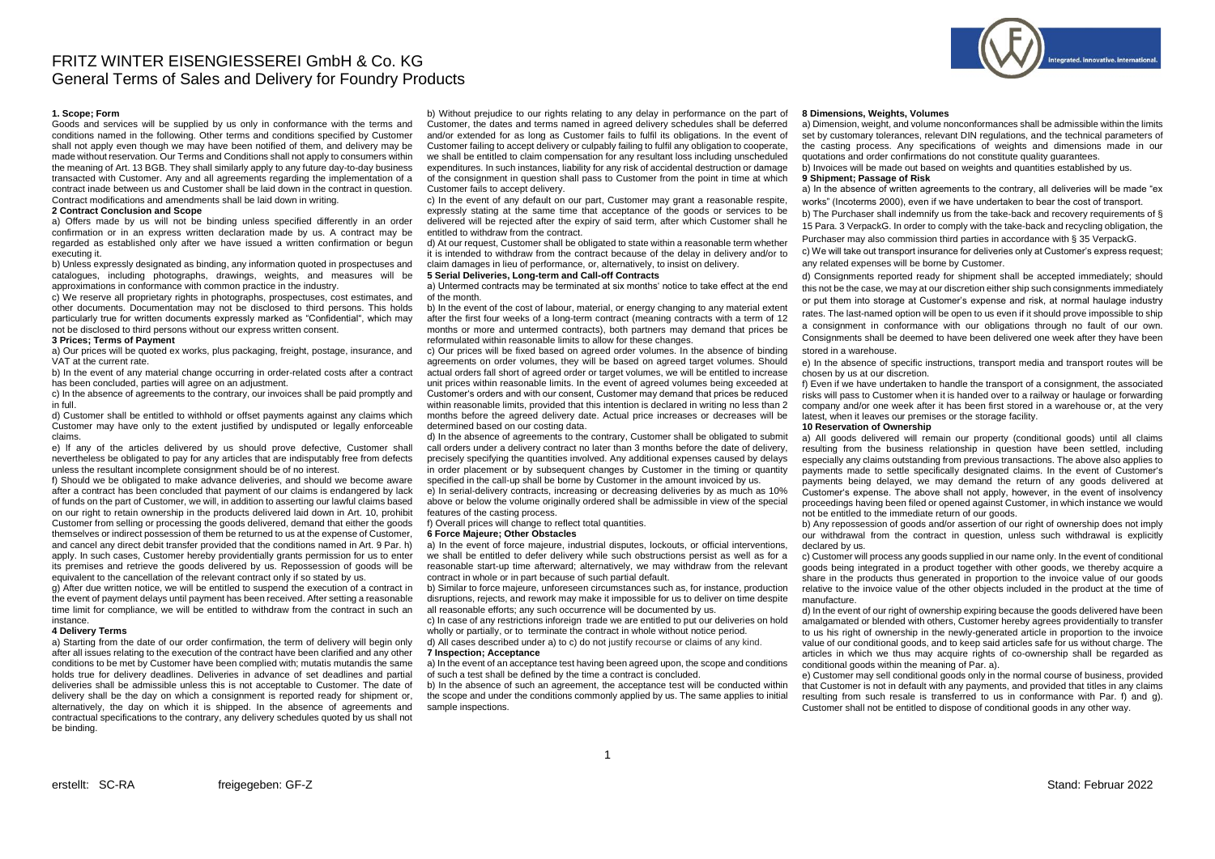# FRITZ WINTER EISENGIESSEREI GmbH & Co. KG General Terms of Sales and Delivery for Foundry Products



## **1. Scope; Form**

Goods and services will be supplied by us only in conformance with the terms and conditions named in the following. Other terms and conditions specified by Customer shall not apply even though we may have been notified of them, and delivery may be made without reservation. Our Terms and Conditions shall not apply to consumers within the meaning of Art. 13 BGB. They shall similarly apply to any future day-to-day business transacted with Customer. Any and all agreements regarding the implementation of a contract inade between us and Customer shall be laid down in the contract in question. Contract modifications and amendments shall be laid down in writing.

#### **2 Contract Conclusion and Scope**

a) Offers made by us will not be binding unless specified differently in an order confirmation or in an express written declaration made by us. A contract may be regarded as established only after we have issued a written confirmation or begun executing it.

b) Unless expressly designated as binding, any information quoted in prospectuses and catalogues, including photographs, drawings, weights, and measures will be approximations in conformance with common practice in the industry.

c) We reserve all proprietary rights in photographs, prospectuses, cost estimates, and other documents. Documentation may not be disclosed to third persons. This holds particularly true for written documents expressly marked as "Confidential", which may not be disclosed to third persons without our express written consent.

## **3 Prices; Terms of Payment**

a) Our prices will be quoted ex works, plus packaging, freight, postage, insurance, and VAT at the current rate.

b) In the event of any material change occurring in order-related costs after a contract has been concluded, parties will agree on an adjustment.

c) In the absence of agreements to the contrary, our invoices shall be paid promptly and in full.

d) Customer shall be entitled to withhold or offset payments against any claims which Customer may have only to the extent justified by undisputed or legally enforceable claims.

e) lf any of the articles delivered by us should prove defective, Customer shall nevertheless be obligated to pay for any articles that are indisputably free from defects unless the resultant incomplete consignment should be of no interest.

f) Should we be obligated to make advance deliveries, and should we become aware after a contract has been concluded that payment of our claims is endangered by lack of funds on the part of Customer, we will, in addition to asserting our lawful claims based on our right to retain ownership in the products delivered laid down in Art. 10, prohibit Customer from selling or processing the goods delivered, demand that either the goods themselves or indirect possession of them be returned to us at the expense of Customer, and cancel any direct debit transfer provided that the conditions named in Art. 9 Par. h) apply. In such cases, Customer hereby providentially grants permission for us to enter its premises and retrieve the goods delivered by us. Repossession of goods will be equivalent to the cancellation of the relevant contract only if so stated by us.

g) After due written notice, we will be entitled to suspend the execution of a contract in the event of payment delays until payment has been received. After setting a reasonable time limit for compliance, we will be entitled to withdraw from the contract in such an instance.

## **4 Delivery Terms**

a) Starting from the date of our order confirmation, the term of delivery will begin only after all issues relating to the execution of the contract have been clarified and any other conditions to be met by Customer have been complied with; mutatis mutandis the same holds true for delivery deadlines. Deliveries in advance of set deadlines and partial deliveries shall be admissible unless this is not acceptable to Customer. The date of delivery shall be the day on which a consignment is reported ready for shipment or, alternatively, the day on which it is shipped. In the absence of agreements and contractual specifications to the contrary, any delivery schedules quoted by us shall not be binding.

b) Without prejudice to our rights relating to any delay in performance on the part of Customer, the dates and terms named in agreed delivery schedules shall be deferred and/or extended for as long as Customer fails to fulfil its obligations. In the event of Customer failing to accept delivery or culpably failing to fulfil any obligation to cooperate, we shall be entitled to claim compensation for any resultant loss including unscheduled expenditures. In such instances, liability for any risk of accidental destruction or damage of the consignment in question shall pass to Customer from the point in time at which Customer fails to accept delivery.

c) In the event of any default on our part, Customer may grant a reasonable respite, expressly stating at the same time that acceptance of the goods or services to be delivered will be rejected after the expiry of said term, after which Customer shall he entitled to withdraw from the contract.

d) At our request, Customer shall be obligated to state within a reasonable term whether it is intended to withdraw from the contract because of the delay in delivery and/or to claim damages in lieu of performance, or, alternatively, to insist on delivery.

## **5 Serial Deliveries, Long-term and Call-off Contracts**

a) Untermed contracts may be terminated at six months' notice to take effect at the end of the month.

b) In the event of the cost of labour, material, or energy changing to any material extent after the first four weeks of a long-term contract (meaning contracts with a term of 12 months or more and untermed contracts), both partners may demand that prices be reformulated within reasonable limits to allow for these changes.

c) Our prices will be fixed based on agreed order volumes. In the absence of binding agreements on order volumes, they will be based on agreed target volumes. Should actual orders fall short of agreed order or target volumes, we will be entitled to increase unit prices within reasonable limits. In the event of agreed volumes being exceeded at Customer's orders and with our consent, Customer may demand that prices be reduced within reasonable limits, provided that this intention is declared in writing no less than 2 months before the agreed delivery date. Actual price increases or decreases will be determined based on our costing data.

d) In the absence of agreements to the contrary, Customer shall be obligated to submit call orders under a delivery contract no later than 3 months before the date of delivery, precisely specifying the quantities involved. Any additional expenses caused by delays in order placement or by subsequent changes by Customer in the timing or quantity specified in the call-up shall be borne by Customer in the amount invoiced by us.

e) In serial-delivery contracts, increasing or decreasing deliveries by as much as 10% above or below the volume originally ordered shall be admissible in view of the special features of the casting process.

f) Overall prices will change to reflect total quantities.

## **6 Force Majeure; Other Obstacles**

a) In the event of force majeure, industrial disputes, lockouts, or official interventions, we shall be entitled to defer delivery while such obstructions persist as well as for a reasonable start-up time afterward; alternatively, we may withdraw from the relevant contract in whole or in part because of such partial default.

b) Similar to force majeure, unforeseen circumstances such as, for instance, production disruptions, rejects, and rework may make it impossible for us to deliver on time despite all reasonable efforts; any such occurrence will be documented by us.

c) In case of any restrictions inforeign trade we are entitled to put our deliveries on hold wholly or partially, or to terminate the contract in whole without notice period.

d) All cases described under a) to c) do not justify recourse or claims of any kind. **7 Inspection; Acceptance**

a) In the event of an acceptance test having been agreed upon, the scope and conditions of such a test shall be defined by the time a contract is concluded.

b) In the absence of such an agreement, the acceptance test will be conducted within the scope and under the conditions commonly applied by us. The same applies to initial sample inspections.

#### **8 Dimensions, Weights, Volumes**

a) Dimension, weight, and volume nonconformances shall be admissible within the limits set by customary tolerances, relevant DIN regulations, and the technical parameters of the casting process. Any specifications of weights and dimensions made in our quotations and order confirmations do not constitute quality guarantees.

b) Invoices will be made out based on weights and quantities established by us. **9 Shipment; Passage of Risk** 

a) In the absence of written agreements to the contrary, all deliveries will be made "ex works" (Incoterms 2000), even if we have undertaken to bear the cost of transport.

b) The Purchaser shall indemnify us from the take-back and recovery requirements of § 15 Para. 3 VerpackG. In order to comply with the take-back and recycling obligation, the Purchaser may also commission third parties in accordance with § 35 VerpackG.

c) We will take out transport insurance for deliveries only at Customer's express request; any related expenses will be borne by Customer.

d) Consignments reported ready for shipment shall be accepted immediately; should this not be the case, we may at our discretion either ship such consignments immediately or put them into storage at Customer's expense and risk, at normal haulage industry rates. The last-named option will be open to us even if it should prove impossible to ship a consignment in conformance with our obligations through no fault of our own.

Consignments shall be deemed to have been delivered one week after they have been stored in a warehouse.

e) In the absence of specific instructions, transport media and transport routes will be chosen by us at our discretion.

f) Even if we have undertaken to handle the transport of a consignment, the associated risks will pass to Customer when it is handed over to a railway or haulage or forwarding company and/or one week after it has been first stored in a warehouse or, at the very latest, when it leaves our premises or the storage facility.

## **10 Reservation of Ownership**

a) All goods delivered will remain our property (conditional goods) until all claims resulting from the business relationship in question have been settled, including especially any claims outstanding from previous transactions. The above also applies to payments made to settle specifically designated claims. In the event of Customer's payments being delayed, we may demand the return of any goods delivered at Customer's expense. The above shall not apply, however, in the event of insolvency proceedings having been filed or opened against Customer, in which instance we would not be entitled to the immediate return of our goods.

b) Any repossession of goods and/or assertion of our right of ownership does not imply our withdrawal from the contract in question, unless such withdrawal is explicitly declared by us.

c) Customer will process any goods supplied in our name only. In the event of conditional goods being integrated in a product together with other goods, we thereby acquire a share in the products thus generated in proportion to the invoice value of our goods relative to the invoice value of the other objects included in the product at the time of manufacture.

d) In the event of our right of ownership expiring because the goods delivered have been amalgamated or blended with others, Customer hereby agrees providentially to transfer to us his right of ownership in the newly-generated article in proportion to the invoice value of our conditional goods, and to keep said articles safe for us without charge. The articles in which we thus may acquire rights of co-ownership shall be regarded as conditional goods within the meaning of Par. a).

e) Customer may sell conditional goods only in the normal course of business, provided that Customer is not in default with any payments, and provided that titles in any claims resulting from such resale is transferred to us in conformance with Par. f) and g). Customer shall not be entitled to dispose of conditional goods in any other way.